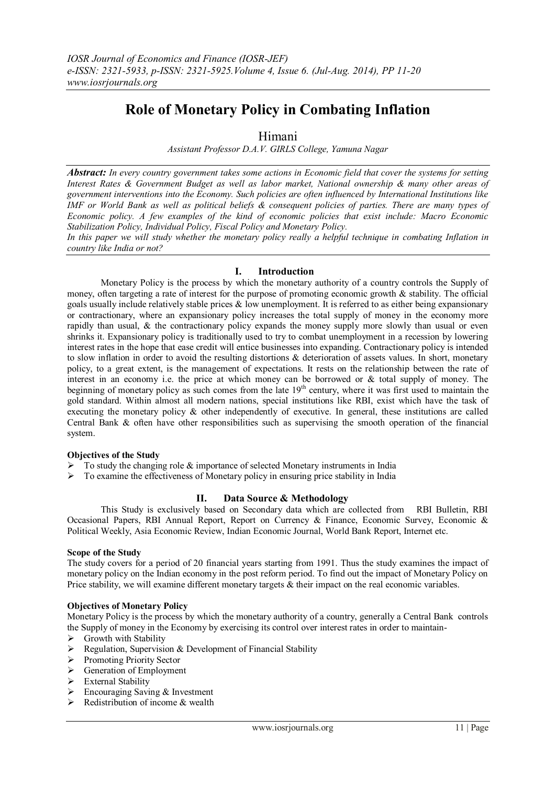# **Role of Monetary Policy in Combating Inflation**

## Himani

*Assistant Professor D.A.V. GIRLS College, Yamuna Nagar*

*Abstract: In every country government takes some actions in Economic field that cover the systems for setting Interest Rates & Government Budget as well as labor market, National ownership & many other areas of government interventions into the Economy. Such policies are often influenced by International Institutions like IMF or World Bank as well as political beliefs & consequent policies of parties. There are many types of Economic policy. A few examples of the kind of economic policies that exist include: Macro Economic Stabilization Policy, Individual Policy, Fiscal Policy and Monetary Policy.*

*In this paper we will study whether the monetary policy really a helpful technique in combating Inflation in country like India or not?*

## **I. Introduction**

Monetary Policy is the process by which the monetary authority of a country controls the Supply of money, often targeting a rate of interest for the purpose of promoting economic growth & stability. The official goals usually include relatively stable prices  $\&$  low unemployment. It is referred to as either being expansionary or contractionary, where an expansionary policy increases the total supply of money in the economy more rapidly than usual, & the contractionary policy expands the money supply more slowly than usual or even shrinks it. Expansionary policy is traditionally used to try to combat unemployment in a recession by lowering interest rates in the hope that ease credit will entice businesses into expanding. Contractionary policy is intended to slow inflation in order to avoid the resulting distortions & deterioration of assets values. In short, monetary policy, to a great extent, is the management of expectations. It rests on the relationship between the rate of interest in an economy i.e. the price at which money can be borrowed or & total supply of money. The beginning of monetary policy as such comes from the late 19<sup>th</sup> century, where it was first used to maintain the gold standard. Within almost all modern nations, special institutions like RBI, exist which have the task of executing the monetary policy & other independently of executive. In general, these institutions are called Central Bank & often have other responsibilities such as supervising the smooth operation of the financial system.

## **Objectives of the Study**

- $\triangleright$  To study the changing role & importance of selected Monetary instruments in India
- To examine the effectiveness of Monetary policy in ensuring price stability in India

## **II. Data Source & Methodology**

This Study is exclusively based on Secondary data which are collected from RBI Bulletin, RBI Occasional Papers, RBI Annual Report, Report on Currency & Finance, Economic Survey, Economic & Political Weekly, Asia Economic Review, Indian Economic Journal, World Bank Report, Internet etc.

#### **Scope of the Study**

The study covers for a period of 20 financial years starting from 1991. Thus the study examines the impact of monetary policy on the Indian economy in the post reform period. To find out the impact of Monetary Policy on Price stability, we will examine different monetary targets  $\&$  their impact on the real economic variables.

## **Objectives of Monetary Policy**

Monetary Policy is the process by which the monetary authority of a country, generally a Central Bank controls the Supply of money in the Economy by exercising its control over interest rates in order to maintain-

- $\triangleright$  Growth with Stability
- $\triangleright$  Regulation, Supervision & Development of Financial Stability
- > Promoting Priority Sector
- $\triangleright$  Generation of Employment
- $\triangleright$  External Stability
- $\triangleright$  Encouraging Saving & Investment
- $\triangleright$  Redistribution of income & wealth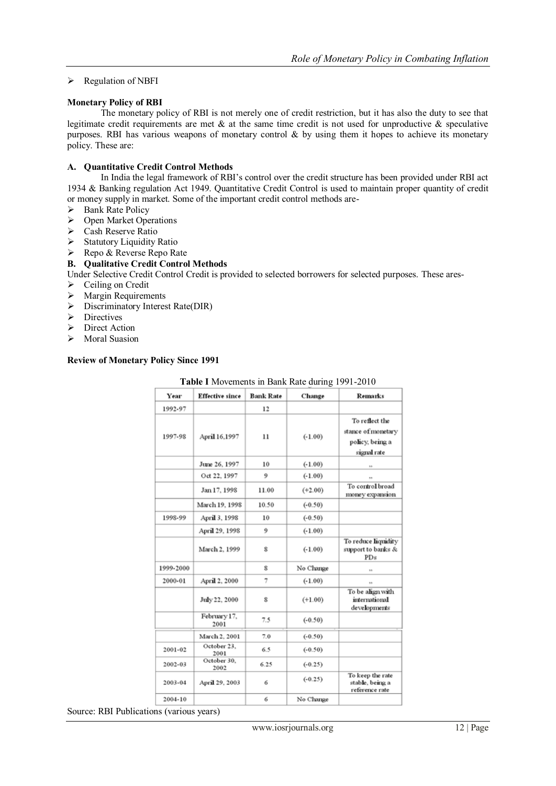## $\triangleright$  Regulation of NBFI

#### **Monetary Policy of RBI**

The monetary policy of RBI is not merely one of credit restriction, but it has also the duty to see that legitimate credit requirements are met  $\&$  at the same time credit is not used for unproductive  $\&$  speculative purposes. RBI has various weapons of monetary control  $\&$  by using them it hopes to achieve its monetary policy. These are:

#### **A. Quantitative Credit Control Methods**

In India the legal framework of RBI's control over the credit structure has been provided under RBI act 1934 & Banking regulation Act 1949. Quantitative Credit Control is used to maintain proper quantity of credit or money supply in market. Some of the important credit control methods are-

- $\triangleright$  Bank Rate Policy
- > Open Market Operations
- ▶ Cash Reserve Ratio
- $\triangleright$  Statutory Liquidity Ratio
- $\triangleright$  Repo & Reverse Repo Rate

## **B. Qualitative Credit Control Methods**

Under Selective Credit Control Credit is provided to selected borrowers for selected purposes. These ares-

- $\triangleright$  Ceiling on Credit
- $\triangleright$  Margin Requirements
- $\triangleright$  Discriminatory Interest Rate(DIR)
- $\triangleright$  Directives
- $\triangleright$  Direct Action
- $\triangleright$  Moral Suasion

#### **Review of Monetary Policy Since 1991**

#### **Table I** Movements in Bank Rate during 1991-2010

| Year      | <b>Effective since</b> | <b>Bank Rate</b>          | Change    | <b>Remarks</b>                                                         |
|-----------|------------------------|---------------------------|-----------|------------------------------------------------------------------------|
| 1992-97   |                        | 12                        |           |                                                                        |
| 1997-98   | April 16,1997          | 11                        | $(-1.00)$ | To reflect the<br>stance of monetary<br>policy, being a<br>signal rate |
|           | June 26, 1997          | 10                        | $(-1.00)$ | ×.                                                                     |
|           | Oct 22, 1997           | 9                         | $(-1.00)$ |                                                                        |
|           | Jan 17, 1998           | 11.00                     | $(+2.00)$ | To control broad<br>money expansion                                    |
|           | March 19, 1998         | 10.50                     | $(-0.50)$ |                                                                        |
| 1998-99   | April 3, 1998          | 10                        | $(-0.50)$ |                                                                        |
|           | April 29, 1998         | 9                         | $(-1.00)$ |                                                                        |
|           | March 2, 1999          | $\boldsymbol{\mathbf{S}}$ | $(-1.00)$ | To reduce liquidity<br>support to banks &<br>PDs                       |
| 1999-2000 |                        | 8                         | No Change | w                                                                      |
| 2000-01   | April 2, 2000          | 7                         | $(-1.00)$ | ××                                                                     |
|           | July 22, 2000          | 8                         | $(+1.00)$ | To be align with<br>international<br>developments                      |
|           | February 17,<br>2001   | 7.5                       | $(-0.50)$ |                                                                        |
|           | March 2, 2001          | 7.0                       | $(-0.50)$ |                                                                        |
| 2001-02   | October 23.<br>2001    | 6.5                       | $(-0.50)$ |                                                                        |
| 2002-03   | October 30.<br>2002    | 6.25                      | $(-0.25)$ |                                                                        |
| 2003-04   | April 29, 2003         | 6                         | $(-0.25)$ | To keep the rate<br>stable, being a<br>reference rate                  |
| 2004-10   |                        | 6                         | No Change |                                                                        |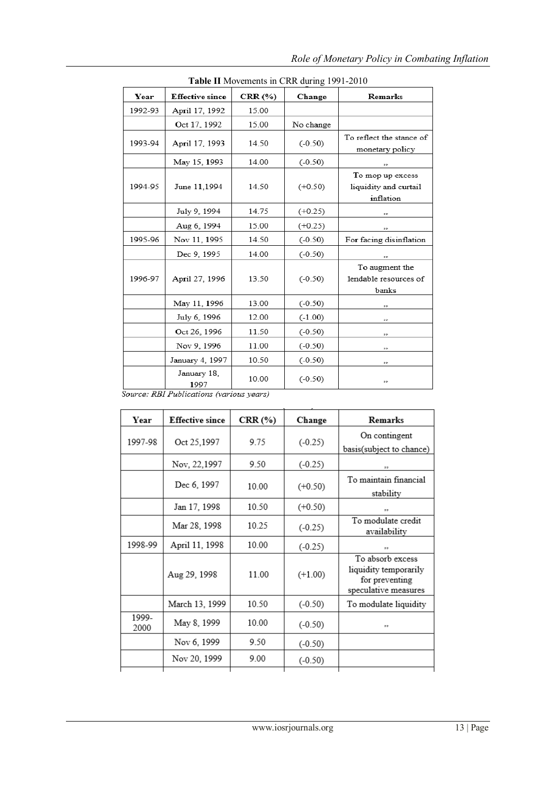| <b>Table II</b> MOVEMENTS IN CKK during 1991-2010 |                                                                 |         |           |                                                        |  |
|---------------------------------------------------|-----------------------------------------------------------------|---------|-----------|--------------------------------------------------------|--|
| Year                                              | <b>Effective since</b>                                          | CRR (%) | Change    | Remarks                                                |  |
| 1992-93                                           | April 17, 1992                                                  | 15.00   |           |                                                        |  |
|                                                   | Oct 17, 1992                                                    | 15.00   | No change |                                                        |  |
| 1993-94                                           | April 17, 1993                                                  | 14.50   | $(-0.50)$ | To reflect the stance of<br>monetary policy            |  |
|                                                   | May 15, 1993                                                    | 14.00   | $(-0.50)$ | 33                                                     |  |
| 1994-95                                           | June 11,1994                                                    | 14.50   | $(+0.50)$ | To mop up excess<br>liquidity and curtail<br>inflation |  |
|                                                   | July 9, 1994                                                    | 14.75   | $(+0.25)$ | 33                                                     |  |
|                                                   | Aug 6, 1994                                                     | 15.00   | $(+0.25)$ | 33                                                     |  |
| 1995-96                                           | Nov 11, 1995                                                    | 14.50   | $(-0.50)$ | For facing disinflation                                |  |
|                                                   | Dec 9, 1995                                                     | 14.00   | $(-0.50)$ | $\overline{z}$                                         |  |
| 1996-97                                           | April 27, 1996                                                  | 13.50   | $(-0.50)$ | To augment the<br>lendable resources of<br>banks       |  |
|                                                   | May 11, 1996                                                    | 13.00   | $(-0.50)$ | 33                                                     |  |
|                                                   | July 6, 1996                                                    | 12.00   | $(-1.00)$ | 33                                                     |  |
|                                                   | Oct 26, 1996                                                    | 11.50   | $(-0.50)$ | 33                                                     |  |
|                                                   | Nov 9, 1996                                                     | 11.00   | $(-0.50)$ | 33                                                     |  |
|                                                   | January 4, 1997                                                 | 10.50   | $(-0.50)$ | 33                                                     |  |
|                                                   | January 18,<br>1997<br>Source: RRI Publications (various vegrs) | 10.00   | $(-0.50)$ | 33                                                     |  |

**Table II** Movements in CRR during 1991-2010

| Year          | <b>Effective since</b> | CRR (%) | Change    | Remarks                                                                             |
|---------------|------------------------|---------|-----------|-------------------------------------------------------------------------------------|
| 1997-98       | Oct 25,1997            | 9.75    | $(-0.25)$ | On contingent<br>basis(subject to chance)                                           |
|               | Nov, 22,1997           | 9.50    | $(-0.25)$ | 55                                                                                  |
|               | Dec 6, 1997            | 10.00   | $(+0.50)$ | To maintain financial<br>stability                                                  |
|               | Jan 17, 1998           | 10.50   | $(+0.50)$ | 55                                                                                  |
|               | Mar 28, 1998           | 10.25   | $(-0.25)$ | To modulate credit<br>availability                                                  |
| 1998-99       | April 11, 1998         | 10.00   | $(-0.25)$ | 99                                                                                  |
|               | Aug 29, 1998           | 11.00   | $(+1.00)$ | To absorb excess<br>liquidity temporarily<br>for preventing<br>speculative measures |
|               | March 13, 1999         | 10.50   | $(-0.50)$ | To modulate liquidity                                                               |
| 1999-<br>2000 | May 8, 1999            | 10.00   | $(-0.50)$ | 55                                                                                  |
|               | Nov 6, 1999            | 9.50    | $(-0.50)$ |                                                                                     |
|               | Nov 20, 1999           | 9.00    | $(-0.50)$ |                                                                                     |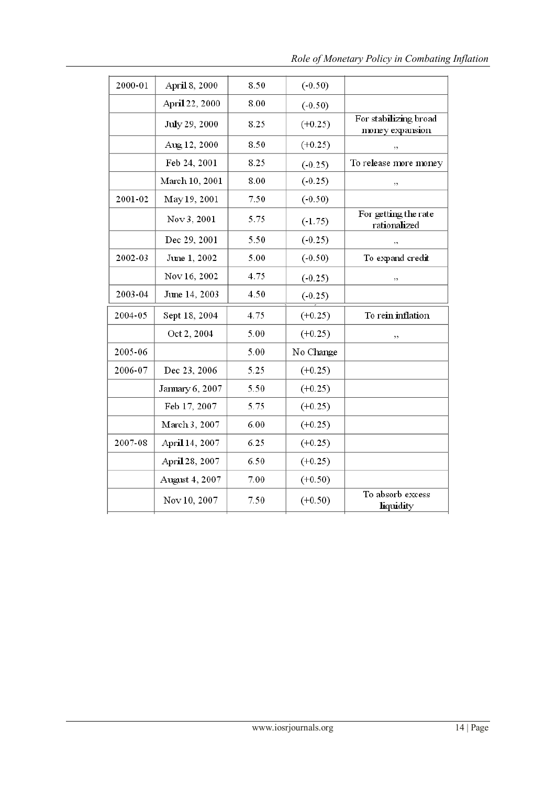| 2000-01 | April 8, 2000   | 8.50 | $(-0.50)$  |                                          |
|---------|-----------------|------|------------|------------------------------------------|
|         | April 22, 2000  | 8.00 | $(-0.50)$  |                                          |
|         | July 29, 2000   | 8.25 | $(+0.25)$  | For stabilizing broad<br>money expansion |
|         | Aug 12, 2000    | 8.50 | $(+0.25)$  | ,,                                       |
|         | Feb 24, 2001    | 8.25 | $(-0.25)$  | To release more money                    |
|         | March 10, 2001  | 8.00 | $(-0.25)$  | ,,                                       |
| 2001-02 | May 19, 2001    | 7.50 | $(-0.50)$  |                                          |
|         | Nov 3, 2001     | 5.75 | $( -1.75)$ | For getting the rate<br>rationalized     |
|         | Dec 29, 2001    | 5.50 | $(-0.25)$  | ,,                                       |
| 2002-03 | June 1, 2002    | 5.00 | $(-0.50)$  | To expand credit                         |
|         | Nov 16, 2002    | 4.75 | $(-0.25)$  | ,,                                       |
| 2003-04 | June 14, 2003   | 4.50 | $(-0.25)$  |                                          |
| 2004-05 | Sept 18, 2004   | 4.75 | $(+0.25)$  | To rein inflation                        |
|         | Oct 2, 2004     | 5.00 | $(+0.25)$  | ,,                                       |
| 2005-06 |                 | 5.00 | No Change  |                                          |
| 2006-07 | Dec 23, 2006    | 5.25 | $(+0.25)$  |                                          |
|         | January 6, 2007 | 5.50 | $(+0.25)$  |                                          |
|         | Feb 17, 2007    | 5.75 | $(+0.25)$  |                                          |
|         | March 3, 2007   | 6.00 | $(+0.25)$  |                                          |
| 2007-08 | April 14, 2007  | 6.25 | $(+0.25)$  |                                          |
|         | April 28, 2007  | 6.50 | $(+0.25)$  |                                          |
|         | August 4, 2007  | 7.00 | $(+0.50)$  |                                          |
|         | Nov 10, 2007    | 7.50 | $(+0.50)$  | To absorb excess<br>liquidity            |
|         |                 |      |            |                                          |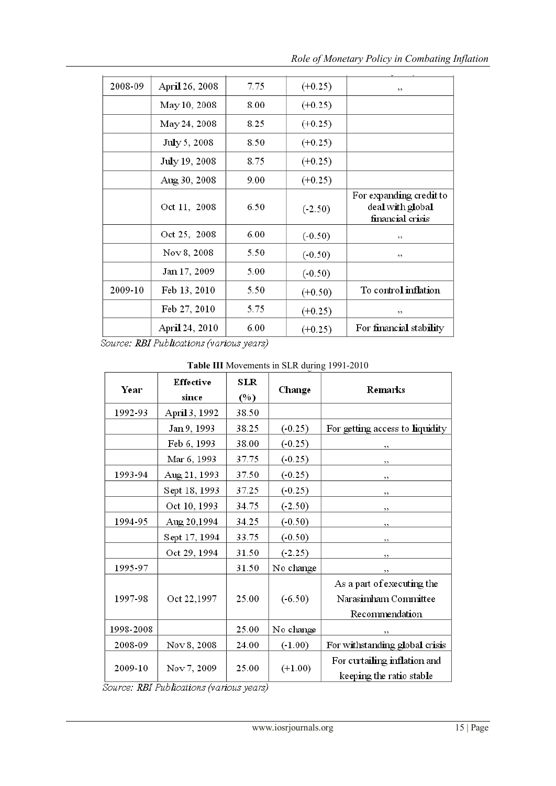| 2008-09 | April 26, 2008 | 7.75 | $(+0.25)$ | ,,                                                              |
|---------|----------------|------|-----------|-----------------------------------------------------------------|
|         | May 10, 2008   | 8.00 | $(+0.25)$ |                                                                 |
|         | May 24, 2008   | 8.25 | $(+0.25)$ |                                                                 |
|         | July 5, 2008   | 8.50 | $(+0.25)$ |                                                                 |
|         | July 19, 2008  | 8.75 | $(+0.25)$ |                                                                 |
|         | Aug 30, 2008   | 9.00 | $(+0.25)$ |                                                                 |
|         | Oct 11, 2008   | 6.50 | $(-2.50)$ | For expanding credit to<br>deal with global<br>financial crisis |
|         | Oct 25, 2008   | 6.00 | $(-0.50)$ | ,,                                                              |
|         | Nov 8, 2008    | 5.50 | $(-0.50)$ | ,,                                                              |
|         | Jan 17, 2009   | 5.00 | $(-0.50)$ |                                                                 |
| 2009-10 | Feb 13, 2010   | 5.50 | $(+0.50)$ | To control inflation                                            |
|         | Feb 27, 2010   | 5.75 | $(+0.25)$ | ,,                                                              |
|         | April 24, 2010 | 6.00 | $(+0.25)$ | For financial stability                                         |
|         |                |      |           |                                                                 |

Source: RBI Publications (various years)

| Year      | <b>Effective</b><br>since | SLR<br>(%) | Change    | <b>Remarks</b>                                           |
|-----------|---------------------------|------------|-----------|----------------------------------------------------------|
| 1992-93   | April 3, 1992             | 38.50      |           |                                                          |
|           | Jan 9, 1993               | 38.25      | $(-0.25)$ | For getting access to liquidity                          |
|           | Feb 6, 1993               | 38.00      | $(-0.25)$ | ,,                                                       |
|           | Mar 6, 1993               | 37.75      | $(-0.25)$ | ,,                                                       |
| 1993-94   | Aug 21, 1993              | 37.50      | $(-0.25)$ | ,,                                                       |
|           | Sept 18, 1993             | 37.25      | $(-0.25)$ | ,,                                                       |
|           | Oct 10, 1993              | 34.75      | $(-2.50)$ | ,,                                                       |
| 1994-95   | Aug 20,1994               | 34.25      | $(-0.50)$ | ,,                                                       |
|           | Sept 17, 1994             | 33.75      | $(-0.50)$ | ,,                                                       |
|           | Oct 29, 1994              | 31.50      | $(-2.25)$ | ,,                                                       |
| 1995-97   |                           | 31.50      | No change | ,,                                                       |
|           |                           |            |           | As a part of executing the                               |
| 1997-98   | Oct 22,1997               | 25.00      | $(-6.50)$ | Narasimham Committee                                     |
|           |                           |            |           | Recommendation                                           |
| 1998-2008 |                           | 25.00      | No change | ,,                                                       |
| 2008-09   | Nov 8, 2008               | 24.00      | $(-1.00)$ | For withstanding global crisis                           |
| 2009-10   | Nov 7, 2009               | 25.00      | $(+1.00)$ | For curtailing inflation and<br>keeping the ratio stable |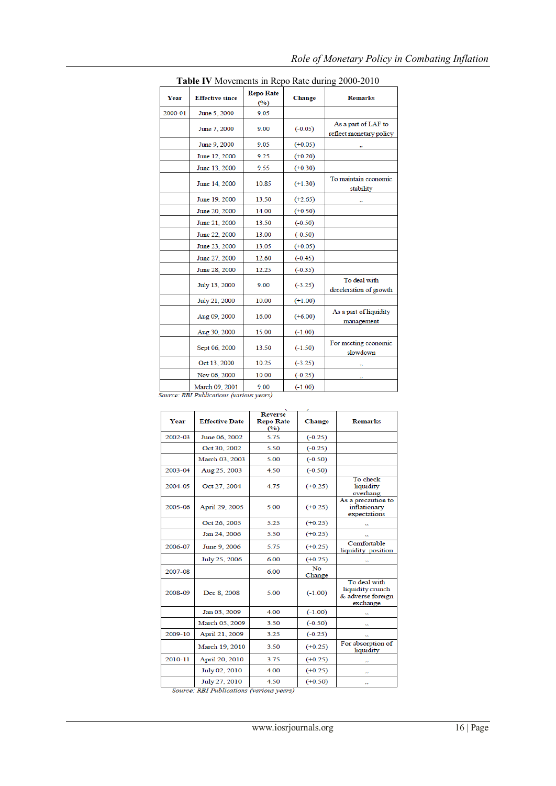|         |                        | <b>Repo Rate</b> |           | <b>Table TV</b> Movements in Reportate during 2000-2010 |
|---------|------------------------|------------------|-----------|---------------------------------------------------------|
| Year    | <b>Effective since</b> | (9/0)            | Change    | <b>Remarks</b>                                          |
| 2000-01 | June 5, 2000           | 9.05             |           |                                                         |
|         | June 7, 2000           | 9.00             | $(-0.05)$ | As a part of LAF to<br>reflect monetary policy          |
|         | June 9, 2000           | 9.05             | $(+0.05)$ | 55                                                      |
|         | June 12, 2000          | 9.25             | $(+0.20)$ |                                                         |
|         | June 13, 2000          | 9.55             | $(+0.30)$ |                                                         |
|         | June 14, 2000          | 10.85            | $(+1.30)$ | To maintain economic<br>stability                       |
|         | June 19, 2000          | 13.50            | $(+2.65)$ |                                                         |
|         | June 20, 2000          | 14.00            | $(+0.50)$ |                                                         |
|         | June 21, 2000          | 13.50            | $(-0.50)$ |                                                         |
|         | June 22, 2000          | 13.00            | $(-0.50)$ |                                                         |
|         | June 23, 2000          | 13.05            | $(+0.05)$ |                                                         |
|         | June 27, 2000          | 12.60            | $(-0.45)$ |                                                         |
|         | June 28, 2000          | 12.25            | $(-0.35)$ |                                                         |
|         | July 13, 2000          | 9.00             | $(-3.25)$ | To deal with<br>deceleration of growth                  |
|         | July 21, 2000          | 10.00            | $(+1.00)$ |                                                         |
|         | Aug 09, 2000           | 16.00            | $(+6.00)$ | As a part of liquidity<br>management                    |
|         | Aug 30, 2000           | 15.00            | $(-1.00)$ |                                                         |
|         | Sept 06, 2000          | 13.50            | $(-1.50)$ | For meeting economic<br>slowdown                        |
|         | Oct 13, 2000           | 10.25            | $(-3.25)$ |                                                         |
|         | Nov 06, 2000           | 10.00            | $(-0.25)$ | 55                                                      |
|         | March 09, 2001         | 9.00             | $(-1.00)$ |                                                         |

# *Role of Monetary Policy in Combating Inflation*

|  | Table IV Movements in Repo Rate during 2000-2010 |  |
|--|--------------------------------------------------|--|
|--|--------------------------------------------------|--|

nirce: RBI Publications (various years)

| Year    | <b>Effective Date</b> | <b>Reverse</b><br><b>Repo Rate</b><br>$($ %) | Change                   | <b>Remarks</b>                                                    |
|---------|-----------------------|----------------------------------------------|--------------------------|-------------------------------------------------------------------|
| 2002-03 | June 06, 2002         | 5.75                                         | $(-0.25)$                |                                                                   |
|         | Oct 30, 2002          | 5.50                                         | $(-0.25)$                |                                                                   |
|         | March 03, 2003        | 5.00                                         | $(-0.50)$                |                                                                   |
| 2003-04 | Aug 25, 2003          | 4.50                                         | $(-0.50)$                |                                                                   |
| 2004-05 | Oct 27, 2004          | 4.75                                         | $(+0.25)$                | To check<br>liquidity<br>overhang                                 |
| 2005-06 | April 29, 2005        | 5.00                                         | $(+0.25)$                | As a precaution to<br>inflationary<br>expectations                |
|         | Oct 26, 2005          | 5.25                                         | $(+0.25)$                |                                                                   |
|         | Jan 24, 2006          | 5.50                                         | $(+0.25)$                |                                                                   |
| 2006-07 | June 9, 2006          | 5.75                                         | $(+0.25)$                | Comfortable<br>liquidity position                                 |
|         | July 25, 2006         | 6.00                                         | $(+0.25)$                | 55                                                                |
| 2007-08 |                       | 6.00                                         | N <sub>o</sub><br>Change |                                                                   |
| 2008-09 | Dec 8, 2008           | 5.00                                         | $(-1.00)$                | To deal with<br>liquidity crunch<br>& adverse foreign<br>exchange |
|         | Jan 03, 2009          | 4.00                                         | $(-1.00)$                |                                                                   |
|         | March 05, 2009        | 3.50                                         | $(-0.50)$                | 55                                                                |
| 2009-10 | April 21, 2009        | 3.25                                         | $(-0.25)$                |                                                                   |
|         | March 19, 2010        | 3.50                                         | $(+0.25)$                | For absorption of<br>liquidity                                    |
| 2010-11 | April 20, 2010        | 3.75                                         | $(+0.25)$                |                                                                   |
|         | July 02, 2010         | 4.00                                         | $(+0.25)$                | 55                                                                |
|         | July 27, 2010         | 4.50                                         | $(+0.50)$                | 55                                                                |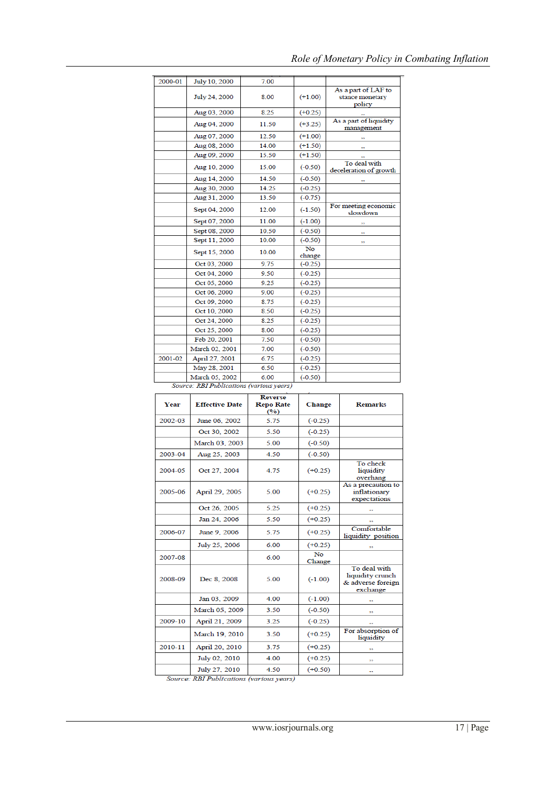| 2000-01 | July 10, 2000  | 7.00  |                     |                                                  |
|---------|----------------|-------|---------------------|--------------------------------------------------|
|         | July 24, 2000  | 8.00  | $(+1.00)$           | As a part of LAF to<br>stance monetary<br>policy |
|         | Aug 03, 2000   | 8.25  | $(+0.25)$           |                                                  |
|         | Aug 04, 2000   | 11.50 | $(+3.25)$           | As a part of liquidity<br>management             |
|         | Aug 07, 2000   | 12.50 | $(+1.00)$           | 55                                               |
|         | Aug 08, 2000   | 14.00 | $(+1.50)$           |                                                  |
|         | Aug 09, 2000   | 15.50 | $(+1.50)$           |                                                  |
|         | Aug 10, 2000   | 15.00 | $(-0.50)$           | To deal with<br>deceleration of growth           |
|         | Aug 14, 2000   | 14.50 | $(-0.50)$           | 55                                               |
|         | Aug 30, 2000   | 14.25 | $(-0.25)$           |                                                  |
|         | Aug 31, 2000   | 13.50 | $(-0.75)$           |                                                  |
|         | Sept 04, 2000  | 12.00 | $(-1.50)$           | For meeting economic<br>slowdown                 |
|         | Sept 07, 2000  | 11.00 | $(-1.00)$           | 55                                               |
|         | Sept 08, 2000  | 10.50 | $(-0.50)$           | 55                                               |
|         | Sept 11, 2000  | 10.00 | $(-0.50)$           | 55                                               |
|         | Sept 15, 2000  | 10.00 | <b>No</b><br>change |                                                  |
|         | Oct 03, 2000   | 9.75  | $(-0.25)$           |                                                  |
|         | Oct 04, 2000   | 9.50  | $(-0.25)$           |                                                  |
|         | Oct 05, 2000   | 9.25  | $(-0.25)$           |                                                  |
|         | Oct 06, 2000   | 9.00  | $(-0.25)$           |                                                  |
|         | Oct 09, 2000   | 8.75  | $(-0.25)$           |                                                  |
|         | Oct 10, 2000   | 8.50  | $(-0.25)$           |                                                  |
|         | Oct 24, 2000   | 8.25  | $(-0.25)$           |                                                  |
|         | Oct 25, 2000   | 8.00  | $(-0.25)$           |                                                  |
|         | Feb 20, 2001   | 7.50  | $(-0.50)$           |                                                  |
|         | March 02, 2001 | 7.00  | $(-0.50)$           |                                                  |
| 2001-02 | April 27, 2001 | 6.75  | $(-0.25)$           |                                                  |
|         | May 28, 2001   | 6.50  | $(-0.25)$           |                                                  |
|         | March 05, 2002 | 6.00  | $(-0.50)$           |                                                  |

## *Role of Monetary Policy in Combating Inflation*

Source: RBI Publications (various years)

| <b>Year</b> | <b>Effective Date</b> | <b>Reverse</b><br><b>Repo Rate</b><br>(°) | Change              | <b>Remarks</b>                                                    |
|-------------|-----------------------|-------------------------------------------|---------------------|-------------------------------------------------------------------|
| 2002-03     | June 06, 2002         | 5.75                                      | $(-0.25)$           |                                                                   |
|             | Oct 30, 2002          | 5.50                                      | $(-0.25)$           |                                                                   |
|             | March 03, 2003        | 5.00                                      | $(-0.50)$           |                                                                   |
| 2003-04     | Aug 25, 2003          | 4.50                                      | $(-0.50)$           |                                                                   |
| 2004-05     | Oct 27, 2004          | 4.75                                      | $(+0.25)$           | To check<br>liquidity<br>overhang                                 |
| 2005-06     | April 29, 2005        | 5.00                                      | $(+0.25)$           | As a precaution to<br>inflationary<br>expectations                |
|             | Oct 26, 2005          | 5.25                                      | $(+0.25)$           |                                                                   |
|             | Jan 24, 2006          | 5.50                                      | $(+0.25)$           | 55                                                                |
| 2006-07     | June 9, 2006          | 5.75                                      | $(+0.25)$           | Comfortable<br>liquidity position                                 |
|             | July 25, 2006         | 6.00                                      | $(+0.25)$           | 55                                                                |
| 2007-08     |                       | 6.00                                      | <b>No</b><br>Change |                                                                   |
| 2008-09     | Dec 8, 2008           | 5.00                                      | $(-1.00)$           | To deal with<br>liquidity crunch<br>& adverse foreign<br>exchange |
|             | Jan 03, 2009          | 4.00                                      | $(-1.00)$           |                                                                   |
|             | March 05, 2009        | 3.50                                      | $(-0.50)$           | 55                                                                |
| 2009-10     | April 21, 2009        | 3.25                                      | $(-0.25)$           |                                                                   |
|             | March 19, 2010        | 3.50                                      | $(+0.25)$           | For absorption of<br>liquidity                                    |
| 2010-11     | April 20, 2010        | 3.75                                      | $(+0.25)$           |                                                                   |
|             | July 02, 2010         | 4.00                                      | $(+0.25)$           | 44                                                                |
|             | July 27, 2010         | 4.50                                      | $(+0.50)$           | 55                                                                |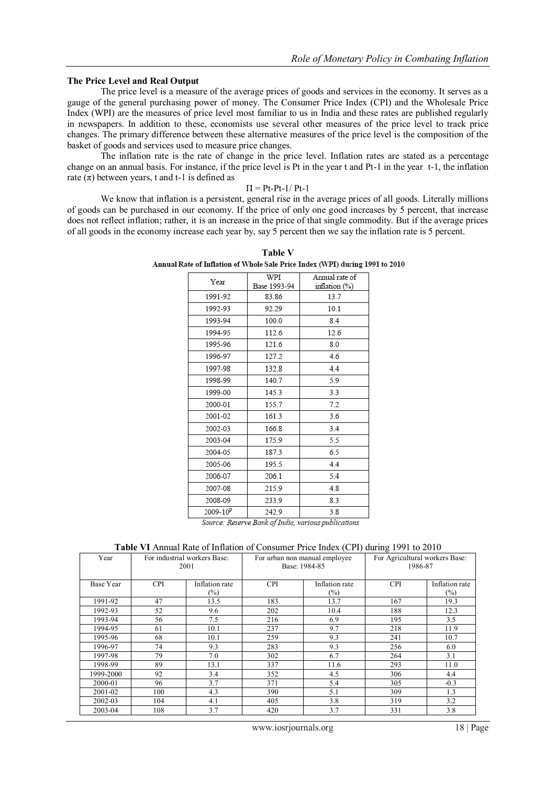#### **The Price Level and Real Output**

The price level is a measure of the average prices of goods and services in the economy. It serves as a gauge of the general purchasing power of money. The Consumer Price Index (CPI) and the Wholesale Price Index (WPI) are the measures of price level most familiar to us in India and these rates are published regularly in newspapers. In addition to these, economists use several other measures of the price level to track price changes. The primary difference between these alternative measures of the price level is the composition of the basket of goods and services used to measure price changes.

The inflation rate is the rate of change in the price level. Inflation rates are stated as a percentage change on an annual basis. For instance, if the price level is Pt in the year t and Pt-1 in the year t-1, the inflation rate  $(\pi)$  between years, t and t-1 is defined as

#### $\Pi = Pt-Pt-1/Pt-1$

We know that inflation is a persistent, general rise in the average prices of all goods. Literally millions of goods can be purchased in our economy. If the price of only one good increases by 5 percent, that increase does not reflect inflation; rather, it is an increase in the price of that single commodity. But if the average prices of all goods in the economy increase each year by, say 5 percent then we say the inflation rate is 5 percent.

| Year                                                 | WPI<br>Base 1993-94 | Annual rate of<br>inflation $(\%)$ |  |  |  |
|------------------------------------------------------|---------------------|------------------------------------|--|--|--|
| 1991-92                                              | 83.86               | 13.7                               |  |  |  |
| 1992-93                                              | 92.29               | 10.1                               |  |  |  |
| 1993-94                                              | 100.0               | 8.4                                |  |  |  |
| 1994-95                                              | 112.6               | 12.6                               |  |  |  |
| 1995-96                                              | 121.6               | 8.0                                |  |  |  |
| 1996-97                                              | 127.2               | 4.6                                |  |  |  |
| 1997-98                                              | 132.8               | 4.4                                |  |  |  |
| 1998-99                                              | 140.7               | 5.9                                |  |  |  |
| 1999-00                                              | 145.3               | 3.3                                |  |  |  |
| 2000-01                                              | 155.7               | 7.2                                |  |  |  |
| 2001-02                                              | 161.3               | 3.6                                |  |  |  |
| 2002-03                                              | 166.8               | 3.4                                |  |  |  |
| 2003-04                                              | 175.9               | 5.5                                |  |  |  |
| 2004-05                                              | 187.3               | 6.5                                |  |  |  |
| 2005-06                                              | 195.5               | 4.4                                |  |  |  |
| 2006-07                                              | 206.1               | 5.4                                |  |  |  |
| 2007-08                                              | 215.9               | 4.8                                |  |  |  |
| 2008-09                                              | 233.9               | 8.3                                |  |  |  |
| $2009 - 10^{p}$                                      | 242.9               | 3.8                                |  |  |  |
| Source: Reserve Rank of India, various publications. |                     |                                    |  |  |  |

**Table V** Annual Rate of Inflation of Whole Sale Price Index (WPI) during 1991 to 2010

Source: Reserve Bank of India, various publications

#### **Table VI** Annual Rate of Inflation of Consumer Price Index (CPI) during 1991 to 2010

| Year      | For industrial workers Base:<br>2001 |                          | For urban non manual employee<br>Base: 1984-85 |                          | For Agricultural workers Base:<br>1986-87 |                          |
|-----------|--------------------------------------|--------------------------|------------------------------------------------|--------------------------|-------------------------------------------|--------------------------|
| Base Year | <b>CPI</b>                           | Inflation rate<br>$(\%)$ | <b>CPI</b>                                     | Inflation rate<br>$(\%)$ | <b>CPI</b>                                | Inflation rate<br>$(\%)$ |
| 1991-92   | 47                                   | 13.5                     | 183                                            | 13.7                     | 167                                       | 19.3                     |
| 1992-93   | 52                                   | 9.6                      | 202                                            | 10.4                     | 188                                       | 12.3                     |
| 1993-94   | 56                                   | 7.5                      | 216                                            | 6.9                      | 195                                       | 3.5                      |
| 1994-95   | 61                                   | 10.1                     | 237                                            | 9.7                      | 218                                       | 11.9                     |
| 1995-96   | 68                                   | 10.1                     | 259                                            | 9.3                      | 241                                       | 10.7                     |
| 1996-97   | 74                                   | 9.3                      | 283                                            | 9.3                      | 256                                       | 6.0                      |
| 1997-98   | 79                                   | 7.0                      | 302                                            | 6.7                      | 264                                       | 3.1                      |
| 1998-99   | 89                                   | 13.1                     | 337                                            | 11.6                     | 293                                       | 11.0                     |
| 1999-2000 | 92                                   | 3.4                      | 352                                            | 4.5                      | 306                                       | 4.4                      |
| 2000-01   | 96                                   | 3.7                      | 371                                            | 5.4                      | 305                                       | $-0.3$                   |
| 2001-02   | 100                                  | 4.3                      | 390                                            | 5.1                      | 309                                       | 1.3                      |
| 2002-03   | 104                                  | 4.1                      | 405                                            | 3.8                      | 319                                       | 3.2                      |
| 2003-04   | 108                                  | 3.7                      | 420                                            | 3.7                      | 331                                       | 3.8                      |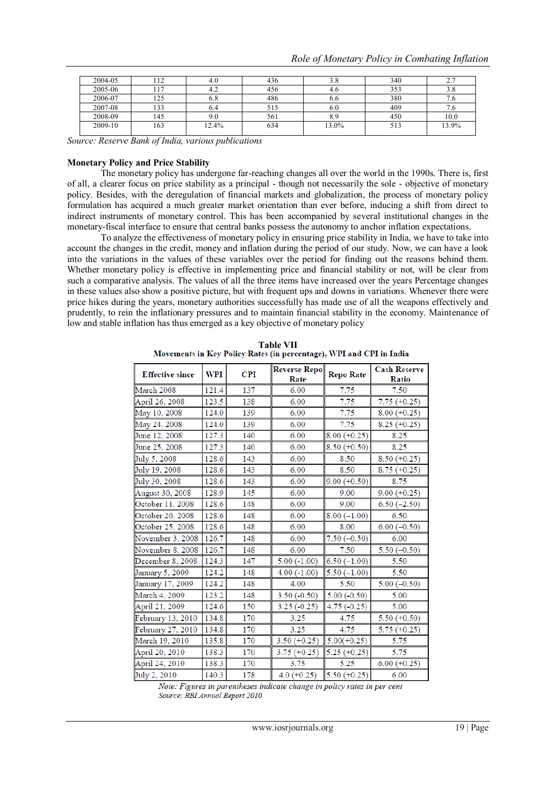| 2004-05 | 112 | 4.0   | 436 | 3.8   | 340 | 2.7   |
|---------|-----|-------|-----|-------|-----|-------|
| 2005-06 |     | 4.2   | 456 | 4.0   | 353 | 3.8   |
| 2006-07 | 125 | 6.8   | 486 | 6.6   | 380 |       |
| 2007-08 | 133 | 6.4   | 515 | 6.0   | 409 |       |
| 2008-09 | 145 | 9.0   | 561 | 8.9   | 450 | 10.0  |
| 2009-10 | 163 | 12.4% | 634 | 13.0% | 513 | 13.9% |
|         |     |       |     |       |     |       |

*Source: Reserve Bank of India, various publications*

#### **Monetary Policy and Price Stability**

The monetary policy has undergone far-reaching changes all over the world in the 1990s. There is, first of all, a clearer focus on price stability as a principal - though not necessarily the sole - objective of monetary policy. Besides, with the deregulation of financial markets and globalization, the process of monetary policy formulation has acquired a much greater market orientation than ever before, inducing a shift from direct to indirect instruments of monetary control. This has been accompanied by several institutional changes in the monetary-fiscal interface to ensure that central banks possess the autonomy to anchor inflation expectations.

To analyze the effectiveness of monetary policy in ensuring price stability in India, we have to take into account the changes in the credit, money and inflation during the period of our study. Now, we can have a look into the variations in the values of these variables over the period for finding out the reasons behind them. Whether monetary policy is effective in implementing price and financial stability or not, will be clear from such a comparative analysis. The values of all the three items have increased over the years Percentage changes in these values also show a positive picture, but with frequent ups and downs in variations. Whenever there were price hikes during the years, monetary authorities successfully has made use of all the weapons effectively and prudently, to rein the inflationary pressures and to maintain financial stability in the economy. Maintenance of low and stable inflation has thus emerged as a key objective of monetary policy

| <b>Effective since</b> | <b>WPI</b> | <b>CPI</b> | <b>Reverse Repo</b><br>Rate | <b>Repo Rate</b> | <b>Cash Reserve</b><br>Ratio |
|------------------------|------------|------------|-----------------------------|------------------|------------------------------|
| March 2008             | 121.4      | 137        | 6.00                        | 7.75             | 7.50                         |
| April 26, 2008         | 123.5      | 138        | 6.00                        | 7.75             | $7.75 (+0.25)$               |
| May 10, 2008           | 124.0      | 139        | 6.00                        | 7.75             | $8.00 (+0.25)$               |
| May 24, 2008           | 124.0      | 139        | 6.00                        | 7.75             | $8.25 (+0.25)$               |
| June 12, 2008          | 127.3      | 140        | 6.00                        | $8.00 (+0.25)$   | 8.25                         |
| June 25, 2008          | 127.3      | 140        | 6.00                        | $8.50 (+0.50)$   | 8.25                         |
| July 5, 2008           | 128.6      | 143        | 6.00                        | 8.50             | $8.50 (+0.25)$               |
| July 19, 2008          | 128.6      | 143        | 6.00                        | 8.50             | $8.75 (+0.25)$               |
| July 30, 2008          | 128.6      | 143        | 6.00                        | $9.00 (+0.50)$   | 8.75                         |
| August 30, 2008        | 128.9      | 145        | 6.00                        | 9.00             | $9.00 (+0.25)$               |
| October 11, 2008       | 128.6      | 148        | 6.00                        | 9.00             | $6.50(-2.50)$                |
| October 20, 2008       | 128.6      | 148        | 6.00                        | $8.00(-1.00)$    | 6.50                         |
| October 25, 2008       | 128.6      | 148        | 6.00                        | 8.00             | $6.00 (-0.50)$               |
| November 3, 2008       | 126.7      | 148        | 6.00                        | $7.50(-0.50)$    | 6.00                         |
| November 8, 2008       | 126.7      | 148        | 6.00                        | 7.50             | $5.50(-0.50)$                |
| December 8, 2008       | 124.3      | 147        | $5.00(-1.00)$               | $6.50(-1.00)$    | 5.50                         |
| January 5, 2009        | 124.2      | 148        | $4.00(-1.00)$               | $5.50(-1.00)$    | 5.50                         |
| January 17, 2009       | 124.2      | 148        | 4.00                        | 5.50             | $5.00(-0.50)$                |
| <b>March 4, 2009</b>   | 123.2      | 148        | $3.50(-0.50)$               | $5.00(-0.50)$    | 5.00                         |
| April 21, 2009         | 124.6      | 150        | $3.25(-0.25)$               | $4.75(-0.25)$    | 5.00                         |
| February 13, 2010      | 134.8      | 170        | 3.25                        | 4.75             | $5.50 (+0.50)$               |
| February 27, 2010      | 134.8      | 170        | 3.25                        | 4.75             | $5.75 (+0.25)$               |
| March 19, 2010         | 135.8      | 170        | $3.50 (+0.25)$              | $5.00(+0.25)$    | 5.75                         |
| April 20, 2010         | 138.3      | 170        | $3.75 (+0.25)$              | $5.25 (+0.25)$   | 5.75                         |
| April 24, 2010         | 138.3      | 170        | 3.75                        | 5.25             | $6.00 (+0.25)$               |
| July 2, 2010           | 140.3      | 178        | $4.0 (+0.25)$               | $5.50 (+0.25)$   | 6.00                         |

Table VII<br>Movements in Key Policy Rates (in percentage), WPI and CPI in India

Note: Figures in parentheses indicate change in policy rates in per cent Source: RBI Annual Report 2010